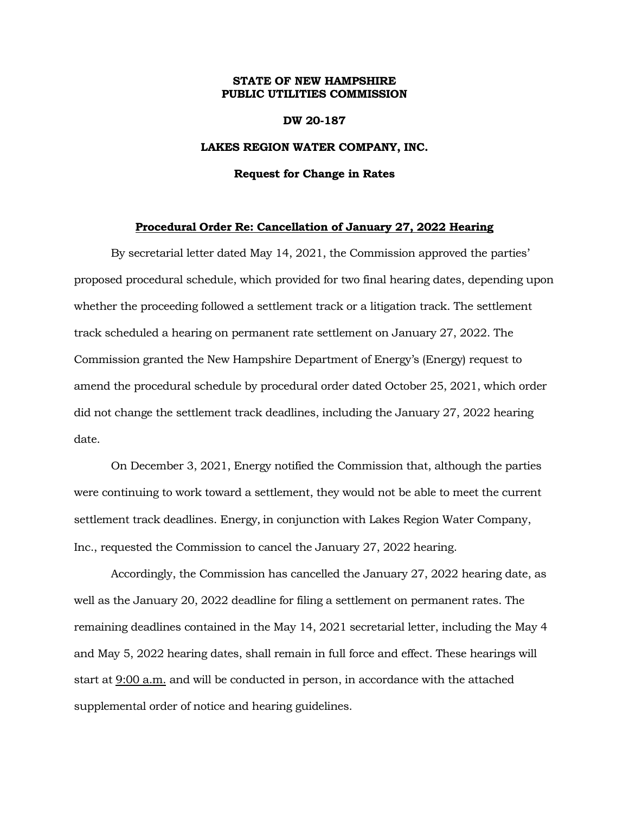## **STATE OF NEW HAMPSHIRE PUBLIC UTILITIES COMMISSION**

### **DW 20-187**

## **LAKES REGION WATER COMPANY, INC.**

#### **Request for Change in Rates**

## **Procedural Order Re: Cancellation of January 27, 2022 Hearing**

By secretarial letter dated May 14, 2021, the Commission approved the parties' proposed procedural schedule, which provided for two final hearing dates, depending upon whether the proceeding followed a settlement track or a litigation track. The settlement track scheduled a hearing on permanent rate settlement on January 27, 2022. The Commission granted the New Hampshire Department of Energy's (Energy) request to amend the procedural schedule by procedural order dated October 25, 2021, which order did not change the settlement track deadlines, including the January 27, 2022 hearing date.

On December 3, 2021, Energy notified the Commission that, although the parties were continuing to work toward a settlement, they would not be able to meet the current settlement track deadlines. Energy, in conjunction with Lakes Region Water Company, Inc., requested the Commission to cancel the January 27, 2022 hearing.

Accordingly, the Commission has cancelled the January 27, 2022 hearing date, as well as the January 20, 2022 deadline for filing a settlement on permanent rates. The remaining deadlines contained in the May 14, 2021 secretarial letter, including the May 4 and May 5, 2022 hearing dates, shall remain in full force and effect. These hearings will start at 9:00 a.m. and will be conducted in person, in accordance with the attached supplemental order of notice and hearing guidelines.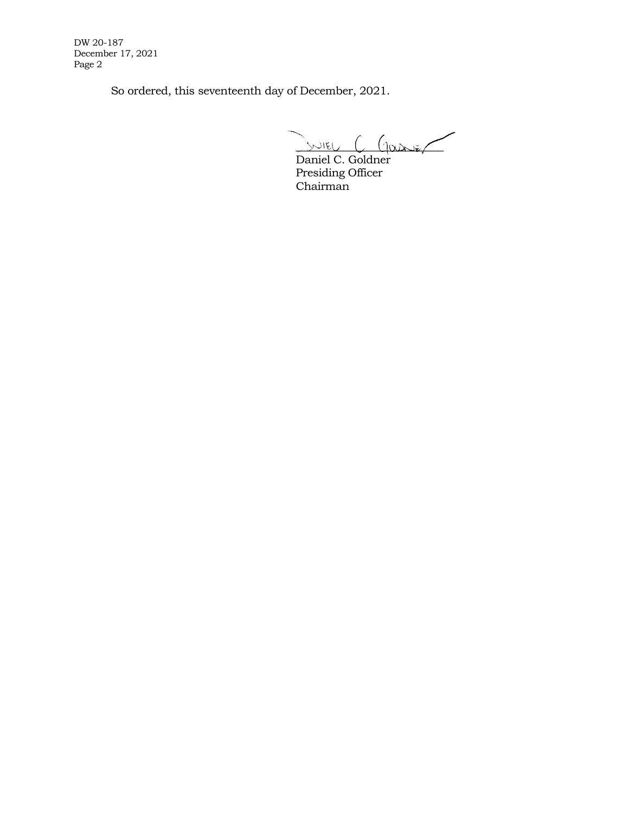DW 20-187 December 17, 2021 Page 2

So ordered, this seventeenth day of December, 2021.

 $\sim$   $\sim$   $\sim$   $\sim$   $\sim$   $\sim$   $\sim$   $\sim$ 

Daniel C. Goldner Presiding Officer Chairman